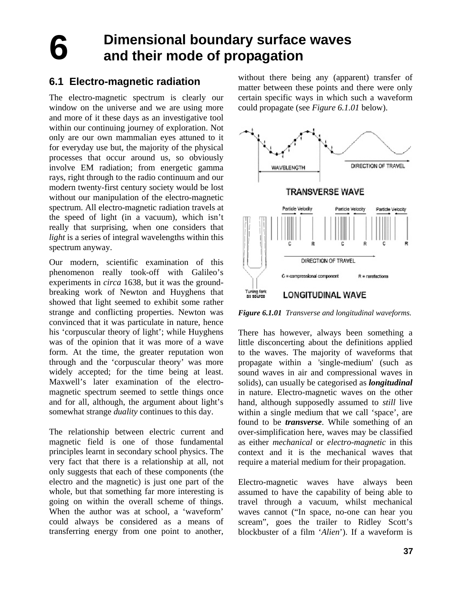**6** 

# **Dimensional boundary surface waves and their mode of propagation**

## **6.1 Electro-magnetic radiation**

The electro-magnetic spectrum is clearly our window on the universe and we are using more and more of it these days as an investigative tool within our continuing journey of exploration. Not only are our own mammalian eyes attuned to it for everyday use but, the majority of the physical processes that occur around us, so obviously involve EM radiation; from energetic gamma rays, right through to the radio continuum and our modern twenty-first century society would be lost without our manipulation of the electro-magnetic spectrum. All electro-magnetic radiation travels at the speed of light (in a vacuum), which isn't really that surprising, when one considers that *light* is a series of integral wavelengths within this spectrum anyway.

Our modern, scientific examination of this phenomenon really took-off with Galileo's experiments in *circa* 1638, but it was the groundbreaking work of Newton and Huyghens that showed that light seemed to exhibit some rather strange and conflicting properties. Newton was convinced that it was particulate in nature, hence his 'corpuscular theory of light'; while Huyghens was of the opinion that it was more of a wave form. At the time, the greater reputation won through and the 'corpuscular theory' was more widely accepted; for the time being at least. Maxwell's later examination of the electromagnetic spectrum seemed to settle things once and for all, although, the argument about light's somewhat strange *duality* continues to this day.

The relationship between electric current and magnetic field is one of those fundamental principles learnt in secondary school physics. The very fact that there is a relationship at all, not only suggests that each of these components (the electro and the magnetic) is just one part of the whole, but that something far more interesting is going on within the overall scheme of things. When the author was at school, a 'waveform' could always be considered as a means of transferring energy from one point to another, without there being any (apparent) transfer of matter between these points and there were only certain specific ways in which such a waveform could propagate (see *Figure 6.1.01* below).



*Figure 6.1.01 Transverse and longitudinal waveforms.*

There has however, always been something a little disconcerting about the definitions applied to the waves. The majority of waveforms that propagate within a 'single-medium' (such as sound waves in air and compressional waves in solids), can usually be categorised as *longitudinal* in nature. Electro-magnetic waves on the other hand, although supposedly assumed to *still* live within a single medium that we call 'space', are found to be *transverse*. While something of an over-simplification here, waves may be classified as either *mechanical* or *electro-magnetic* in this context and it is the mechanical waves that require a material medium for their propagation.

Electro-magnetic waves have always been assumed to have the capability of being able to travel through a vacuum, whilst mechanical waves cannot ("In space, no-one can hear you scream", goes the trailer to Ridley Scott's blockbuster of a film '*Alien*'). If a waveform is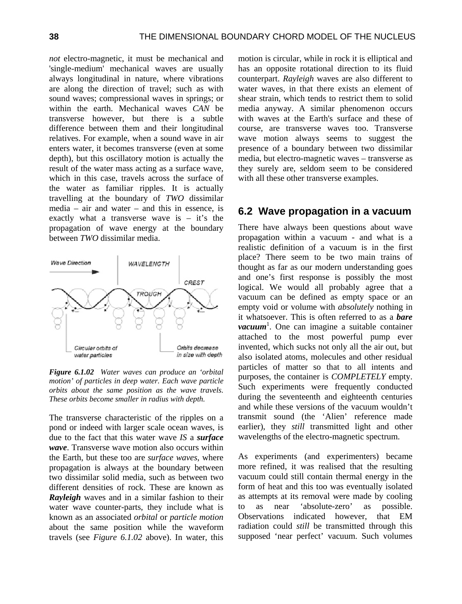*not* electro-magnetic, it must be mechanical and 'single-medium' mechanical waves are usually always longitudinal in nature, where vibrations are along the direction of travel; such as with sound waves; compressional waves in springs; or within the earth. Mechanical waves *CAN* be transverse however, but there is a subtle difference between them and their longitudinal relatives. For example, when a sound wave in air enters water, it becomes transverse (even at some depth), but this oscillatory motion is actually the result of the water mass acting as a surface wave, which in this case, travels across the surface of the water as familiar ripples. It is actually travelling at the boundary of *TWO* dissimilar media – air and water – and this in essence, is exactly what a transverse wave is – it's the propagation of wave energy at the boundary between *TWO* dissimilar media.



*Figure 6.1.02 Water waves can produce an 'orbital motion' of particles in deep water. Each wave particle orbits about the same position as the wave travels. These orbits become smaller in radius with depth.* 

The transverse characteristic of the ripples on a pond or indeed with larger scale ocean waves, is due to the fact that this water wave *IS* a *surface wave*. Transverse wave motion also occurs within the Earth, but these too are *surface waves*, where propagation is always at the boundary between two dissimilar solid media, such as between two different densities of rock. These are known as *Rayleigh* waves and in a similar fashion to their water wave counter-parts, they include what is known as an associated *orbital* or *particle motion* about the same position while the waveform travels (see *Figure 6.1.02* above). In water, this

motion is circular, while in rock it is elliptical and has an opposite rotational direction to its fluid counterpart. *Rayleigh* waves are also different to water waves, in that there exists an element of shear strain, which tends to restrict them to solid media anyway. A similar phenomenon occurs with waves at the Earth's surface and these of course, are transverse waves too. Transverse wave motion always seems to suggest the presence of a boundary between two dissimilar media, but electro-magnetic waves – transverse as they surely are, seldom seem to be considered with all these other transverse examples.

#### **6.2 Wave propagation in a vacuum**

There have always been questions about wave propagation within a vacuum - and what is a realistic definition of a vacuum is in the first place? There seem to be two main trains of thought as far as our modern understanding goes and one's first response is possibly the most logical. We would all probably agree that a vacuum can be defined as empty space or an empty void or volume with *absolutely* nothing in it whatsoever. This is often referred to as a *bare vacuum*<sup>1</sup> . One can imagine a suitable container attached to the most powerful pump ever invented, which sucks not only all the air out, but also isolated atoms, molecules and other residual particles of matter so that to all intents and purposes, the container is *COMPLETELY* empty. Such experiments were frequently conducted during the seventeenth and eighteenth centuries and while these versions of the vacuum wouldn't transmit sound (the 'Alien' reference made earlier), they *still* transmitted light and other wavelengths of the electro-magnetic spectrum.

As experiments (and experimenters) became more refined, it was realised that the resulting vacuum could still contain thermal energy in the form of heat and this too was eventually isolated as attempts at its removal were made by cooling to as near 'absolute-zero' as possible. Observations indicated however, that EM radiation could *still* be transmitted through this supposed 'near perfect' vacuum. Such volumes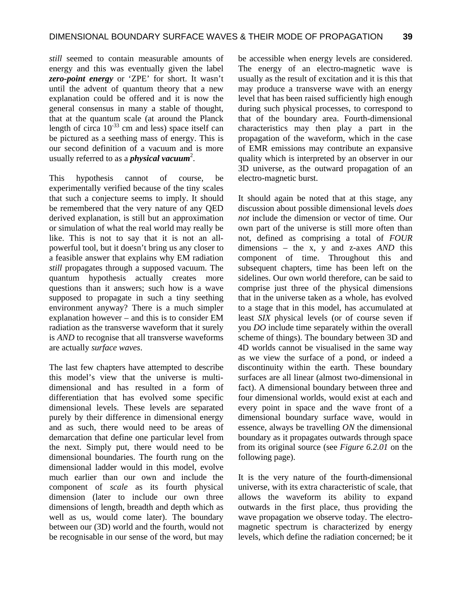*still* seemed to contain measurable amounts of energy and this was eventually given the label *zero-point energy* or 'ZPE' for short. It wasn't until the advent of quantum theory that a new explanation could be offered and it is now the general consensus in many a stable of thought, that at the quantum scale (at around the Planck length of circa  $10^{-33}$  cm and less) space itself can be pictured as a seething mass of energy. This is our second definition of a vacuum and is more usually referred to as a *physical vacuum*<sup>2</sup>.

This hypothesis cannot of course, be experimentally verified because of the tiny scales that such a conjecture seems to imply. It should be remembered that the very nature of any QED derived explanation, is still but an approximation or simulation of what the real world may really be like. This is not to say that it is not an allpowerful tool, but it doesn't bring us any closer to a feasible answer that explains why EM radiation *still* propagates through a supposed vacuum. The quantum hypothesis actually creates more questions than it answers; such how is a wave supposed to propagate in such a tiny seething environment anyway? There is a much simpler explanation however – and this is to consider EM radiation as the transverse waveform that it surely is *AND* to recognise that all transverse waveforms are actually *surface waves*.

The last few chapters have attempted to describe this model's view that the universe is multidimensional and has resulted in a form of differentiation that has evolved some specific dimensional levels. These levels are separated purely by their difference in dimensional energy and as such, there would need to be areas of demarcation that define one particular level from the next. Simply put, there would need to be dimensional boundaries. The fourth rung on the dimensional ladder would in this model, evolve much earlier than our own and include the component of *scale* as its fourth physical dimension (later to include our own three dimensions of length, breadth and depth which as well as us, would come later). The boundary between our (3D) world and the fourth, would not be recognisable in our sense of the word, but may

be accessible when energy levels are considered. The energy of an electro-magnetic wave is usually as the result of excitation and it is this that may produce a transverse wave with an energy level that has been raised sufficiently high enough during such physical processes, to correspond to that of the boundary area. Fourth-dimensional characteristics may then play a part in the propagation of the waveform, which in the case of EMR emissions may contribute an expansive quality which is interpreted by an observer in our 3D universe, as the outward propagation of an electro-magnetic burst.

It should again be noted that at this stage, any discussion about possible dimensional levels *does not* include the dimension or vector of time. Our own part of the universe is still more often than not, defined as comprising a total of *FOUR* dimensions – the x, y and z-axes *AND* this component of time. Throughout this and subsequent chapters, time has been left on the sidelines. Our own world therefore, can be said to comprise just three of the physical dimensions that in the universe taken as a whole, has evolved to a stage that in this model, has accumulated at least *SIX* physical levels (or of course seven if you *DO* include time separately within the overall scheme of things). The boundary between 3D and 4D worlds cannot be visualised in the same way as we view the surface of a pond, or indeed a discontinuity within the earth. These boundary surfaces are all linear (almost two-dimensional in fact). A dimensional boundary between three and four dimensional worlds, would exist at each and every point in space and the wave front of a dimensional boundary surface wave, would in essence, always be travelling *ON* the dimensional boundary as it propagates outwards through space from its original source (see *Figure 6.2.01* on the following page).

It is the very nature of the fourth-dimensional universe, with its extra characteristic of scale, that allows the waveform its ability to expand outwards in the first place, thus providing the wave propagation we observe today. The electromagnetic spectrum is characterized by energy levels, which define the radiation concerned; be it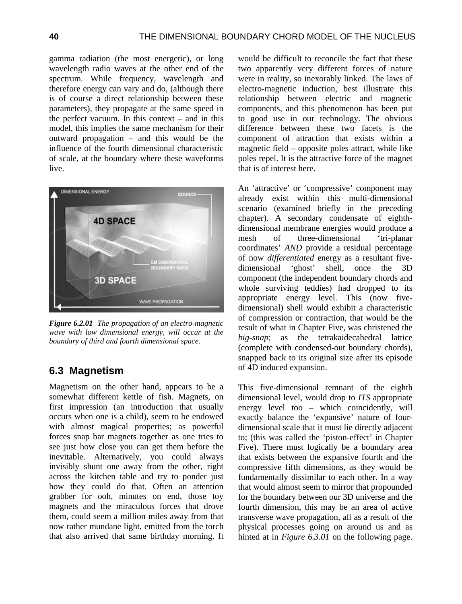gamma radiation (the most energetic), or long wavelength radio waves at the other end of the spectrum. While frequency, wavelength and therefore energy can vary and do, (although there is of course a direct relationship between these parameters), they propagate at the same speed in the perfect vacuum. In this context – and in this model, this implies the same mechanism for their outward propagation – and this would be the influence of the fourth dimensional characteristic of scale, at the boundary where these waveforms live.



*Figure 6.2.01 The propagation of an electro-magnetic wave with low dimensional energy, will occur at the boundary of third and fourth dimensional space.* 

### **6.3 Magnetism**

Magnetism on the other hand, appears to be a somewhat different kettle of fish. Magnets, on first impression (an introduction that usually occurs when one is a child), seem to be endowed with almost magical properties; as powerful forces snap bar magnets together as one tries to see just how close you can get them before the inevitable. Alternatively, you could always invisibly shunt one away from the other, right across the kitchen table and try to ponder just how they could do that. Often an attention grabber for ooh, minutes on end, those toy magnets and the miraculous forces that drove them, could seem a million miles away from that now rather mundane light, emitted from the torch that also arrived that same birthday morning. It would be difficult to reconcile the fact that these two apparently very different forces of nature were in reality, so inexorably linked. The laws of electro-magnetic induction, best illustrate this relationship between electric and magnetic components, and this phenomenon has been put to good use in our technology. The obvious difference between these two facets is the component of attraction that exists within a magnetic field – opposite poles attract, while like poles repel. It is the attractive force of the magnet that is of interest here.

An 'attractive' or 'compressive' component may already exist within this multi-dimensional scenario (examined briefly in the preceding chapter). A secondary condensate of eighthdimensional membrane energies would produce a mesh of three-dimensional 'tri-planar coordinates' *AND* provide a residual percentage of now *differentiated* energy as a resultant fivedimensional 'ghost' shell, once the 3D component (the independent boundary chords and whole surviving teddies) had dropped to its appropriate energy level. This (now fivedimensional) shell would exhibit a characteristic of compression or contraction, that would be the result of what in Chapter Five, was christened the *big-snap*; as the tetrakaidecahedral lattice (complete with condensed-out boundary chords), snapped back to its original size after its episode of 4D induced expansion.

This five-dimensional remnant of the eighth dimensional level, would drop to *ITS* appropriate energy level too – which coincidently, will exactly balance the 'expansive' nature of fourdimensional scale that it must lie directly adjacent to; (this was called the 'piston-effect' in Chapter Five). There must logically be a boundary area that exists between the expansive fourth and the compressive fifth dimensions, as they would be fundamentally dissimilar to each other. In a way that would almost seem to mirror that propounded for the boundary between our 3D universe and the fourth dimension, this may be an area of active transverse wave propagation, all as a result of the physical processes going on around us and as hinted at in *Figure 6.3.01* on the following page.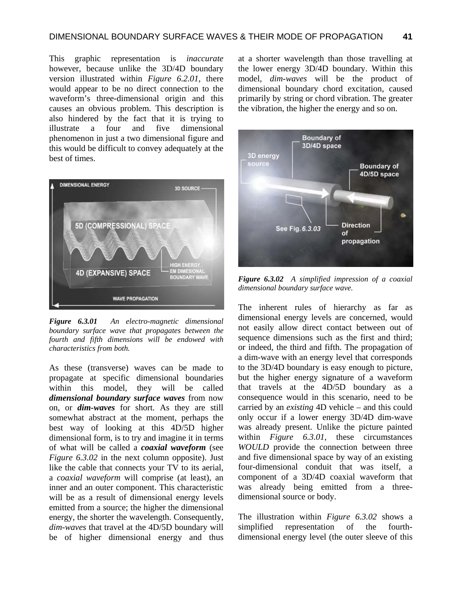This graphic representation is *inaccurate* however, because unlike the 3D/4D boundary version illustrated within *Figure 6.2.01*, there would appear to be no direct connection to the waveform's three-dimensional origin and this causes an obvious problem. This description is also hindered by the fact that it is trying to illustrate a four and five dimensional phenomenon in just a two dimensional figure and this would be difficult to convey adequately at the best of times.



*Figure 6.3.01 An electro-magnetic dimensional boundary surface wave that propagates between the fourth and fifth dimensions will be endowed with characteristics from both.* 

As these (transverse) waves can be made to propagate at specific dimensional boundaries within this model, they will be called *dimensional boundary surface waves* from now on, or *dim-waves* for short. As they are still somewhat abstract at the moment, perhaps the best way of looking at this 4D/5D higher dimensional form, is to try and imagine it in terms of what will be called a *coaxial waveform* (see *Figure 6.3.02* in the next column opposite). Just like the cable that connects your TV to its aerial, a *coaxial waveform* will comprise (at least), an inner and an outer component. This characteristic will be as a result of dimensional energy levels emitted from a source; the higher the dimensional energy, the shorter the wavelength. Consequently, *dim-waves* that travel at the 4D/5D boundary will be of higher dimensional energy and thus at a shorter wavelength than those travelling at the lower energy 3D/4D boundary. Within this model, *dim-waves* will be the product of dimensional boundary chord excitation, caused primarily by string or chord vibration. The greater the vibration, the higher the energy and so on.



*Figure 6.3.02 A simplified impression of a coaxial dimensional boundary surface wave.*

The inherent rules of hierarchy as far as dimensional energy levels are concerned, would not easily allow direct contact between out of sequence dimensions such as the first and third; or indeed, the third and fifth. The propagation of a dim-wave with an energy level that corresponds to the 3D/4D boundary is easy enough to picture, but the higher energy signature of a waveform that travels at the 4D/5D boundary as a consequence would in this scenario, need to be carried by an *existing* 4D vehicle – and this could only occur if a lower energy 3D/4D dim-wave was already present. Unlike the picture painted within *Figure 6.3.01*, these circumstances *WOULD* provide the connection between three and five dimensional space by way of an existing four-dimensional conduit that was itself, a component of a 3D/4D coaxial waveform that was already being emitted from a threedimensional source or body.

The illustration within *Figure 6.3.02* shows a simplified representation of the fourthdimensional energy level (the outer sleeve of this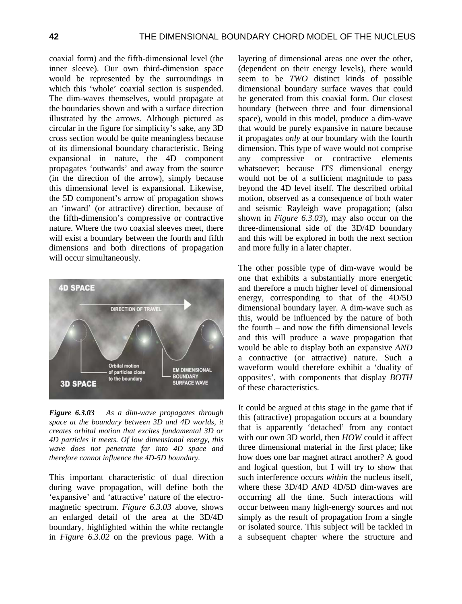coaxial form) and the fifth-dimensional level (the inner sleeve). Our own third-dimension space would be represented by the surroundings in which this 'whole' coaxial section is suspended. The dim-waves themselves, would propagate at the boundaries shown and with a surface direction illustrated by the arrows. Although pictured as circular in the figure for simplicity's sake, any 3D cross section would be quite meaningless because of its dimensional boundary characteristic. Being expansional in nature, the 4D component propagates 'outwards' and away from the source (in the direction of the arrow), simply because this dimensional level is expansional. Likewise, the 5D component's arrow of propagation shows an 'inward' (or attractive) direction, because of the fifth-dimension's compressive or contractive nature. Where the two coaxial sleeves meet, there will exist a boundary between the fourth and fifth dimensions and both directions of propagation will occur simultaneously.



*Figure 6.3.03 As a dim-wave propagates through space at the boundary between 3D and 4D worlds, it creates orbital motion that excites fundamental 3D or 4D particles it meets. Of low dimensional energy, this wave does not penetrate far into 4D space and therefore cannot influence the 4D-5D boundary.*

This important characteristic of dual direction during wave propagation, will define both the 'expansive' and 'attractive' nature of the electromagnetic spectrum. *Figure 6.3.03* above, shows an enlarged detail of the area at the 3D/4D boundary, highlighted within the white rectangle in *Figure 6.3.02* on the previous page. With a layering of dimensional areas one over the other, (dependent on their energy levels), there would seem to be *TWO* distinct kinds of possible dimensional boundary surface waves that could be generated from this coaxial form. Our closest boundary (between three and four dimensional space), would in this model, produce a dim-wave that would be purely expansive in nature because it propagates *only* at our boundary with the fourth dimension. This type of wave would not comprise any compressive or contractive elements whatsoever; because *ITS* dimensional energy would not be of a sufficient magnitude to pass beyond the 4D level itself. The described orbital motion, observed as a consequence of both water and seismic Rayleigh wave propagation; (also shown in *Figure 6.3.03*), may also occur on the three-dimensional side of the 3D/4D boundary and this will be explored in both the next section and more fully in a later chapter.

The other possible type of dim-wave would be one that exhibits a substantially more energetic and therefore a much higher level of dimensional energy, corresponding to that of the 4D/5D dimensional boundary layer. A dim-wave such as this, would be influenced by the nature of both the fourth – and now the fifth dimensional levels and this will produce a wave propagation that would be able to display both an expansive *AND* a contractive (or attractive) nature. Such a waveform would therefore exhibit a 'duality of opposites', with components that display *BOTH* of these characteristics.

It could be argued at this stage in the game that if this (attractive) propagation occurs at a boundary that is apparently 'detached' from any contact with our own 3D world, then *HOW* could it affect three dimensional material in the first place; like how does one bar magnet attract another? A good and logical question, but I will try to show that such interference occurs *within* the nucleus itself, where these 3D/4D *AND* 4D/5D dim-waves are occurring all the time. Such interactions will occur between many high-energy sources and not simply as the result of propagation from a single or isolated source. This subject will be tackled in a subsequent chapter where the structure and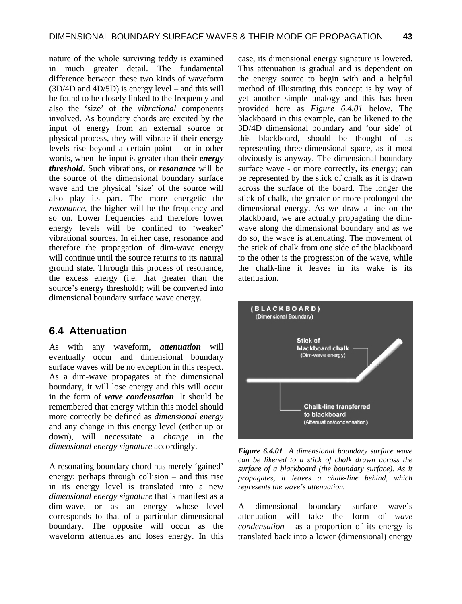nature of the whole surviving teddy is examined in much greater detail. The fundamental difference between these two kinds of waveform (3D/4D and 4D/5D) is energy level – and this will be found to be closely linked to the frequency and also the 'size' of the *vibrational* components involved. As boundary chords are excited by the input of energy from an external source or physical process, they will vibrate if their energy levels rise beyond a certain point – or in other words, when the input is greater than their *energy threshold*. Such vibrations, or *resonance* will be the source of the dimensional boundary surface wave and the physical 'size' of the source will also play its part. The more energetic the *resonance*, the higher will be the frequency and so on. Lower frequencies and therefore lower energy levels will be confined to 'weaker' vibrational sources. In either case, resonance and therefore the propagation of dim-wave energy will continue until the source returns to its natural ground state. Through this process of resonance, the excess energy (i.e. that greater than the source's energy threshold); will be converted into dimensional boundary surface wave energy.

#### **6.4 Attenuation**

As with any waveform, *attenuation* will eventually occur and dimensional boundary surface waves will be no exception in this respect. As a dim-wave propagates at the dimensional boundary, it will lose energy and this will occur in the form of *wave condensation*. It should be remembered that energy within this model should more correctly be defined as *dimensional energy*  and any change in this energy level (either up or down), will necessitate a *change* in the *dimensional energy signature* accordingly.

A resonating boundary chord has merely 'gained' energy; perhaps through collision – and this rise in its energy level is translated into a new *dimensional energy signature* that is manifest as a dim-wave, or as an energy whose level corresponds to that of a particular dimensional boundary. The opposite will occur as the waveform attenuates and loses energy. In this case, its dimensional energy signature is lowered. This attenuation is gradual and is dependent on the energy source to begin with and a helpful method of illustrating this concept is by way of yet another simple analogy and this has been provided here as *Figure 6.4.01* below. The blackboard in this example, can be likened to the 3D/4D dimensional boundary and 'our side' of this blackboard, should be thought of as representing three-dimensional space, as it most obviously is anyway. The dimensional boundary surface wave - or more correctly, its energy; can be represented by the stick of chalk as it is drawn across the surface of the board. The longer the stick of chalk, the greater or more prolonged the dimensional energy. As we draw a line on the blackboard, we are actually propagating the dimwave along the dimensional boundary and as we do so, the wave is attenuating. The movement of the stick of chalk from one side of the blackboard to the other is the progression of the wave, while the chalk-line it leaves in its wake is its attenuation.



*Figure 6.4.01 A dimensional boundary surface wave can be likened to a stick of chalk drawn across the surface of a blackboard (the boundary surface). As it propagates, it leaves a chalk-line behind, which represents the wave's attenuation.*

A dimensional boundary surface wave's attenuation will take the form of *wave condensation* - as a proportion of its energy is translated back into a lower (dimensional) energy